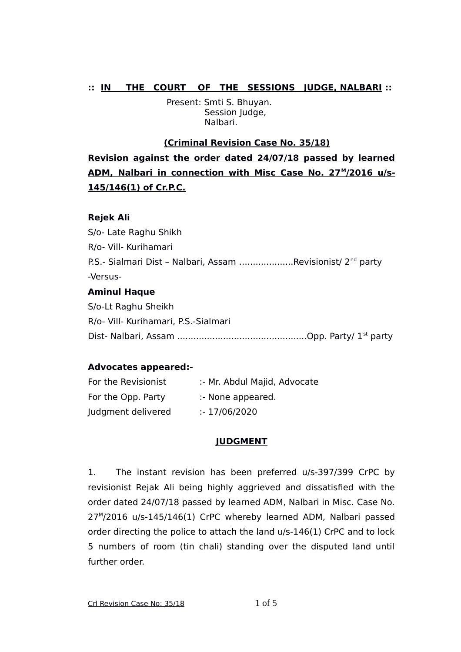## **:: IN THE COURT OF THE SESSIONS JUDGE, NALBARI ::**

 Present: Smti S. Bhuyan. Session Judge, Nalbari.

### **(Criminal Revision Case No. 35/18)**

**Revision against the order dated 24/07/18 passed by learned** ADM, Nalbari in connection with Misc Case No. 27<sup>M</sup>/2016 u/s-**145/146(1) of Cr.P.C.**

#### **Rejek Ali**

S/o- Late Raghu Shikh R/o- Vill- Kurihamari P.S.- Sialmari Dist – Nalbari, Assam ….................Revisionist/ 2nd party -Versus-**Aminul Haque** S/o-Lt Raghu Sheikh

R/o- Vill- Kurihamari, P.S.-Sialmari Dist- Nalbari, Assam ................................................Opp. Party/ 1st party

#### **Advocates appeared:-**

| For the Revisionist | :- Mr. Abdul Majid, Advocate |
|---------------------|------------------------------|
| For the Opp. Party  | :- None appeared.            |
| Judgment delivered  | : 17/06/2020                 |

# **JUDGMENT**

1. The instant revision has been preferred u/s-397/399 CrPC by revisionist Rejak Ali being highly aggrieved and dissatisfied with the order dated 24/07/18 passed by learned ADM, Nalbari in Misc. Case No. 27<sup>M</sup> /2016 u/s-145/146(1) CrPC whereby learned ADM, Nalbari passed order directing the police to attach the land u/s-146(1) CrPC and to lock 5 numbers of room (tin chali) standing over the disputed land until further order.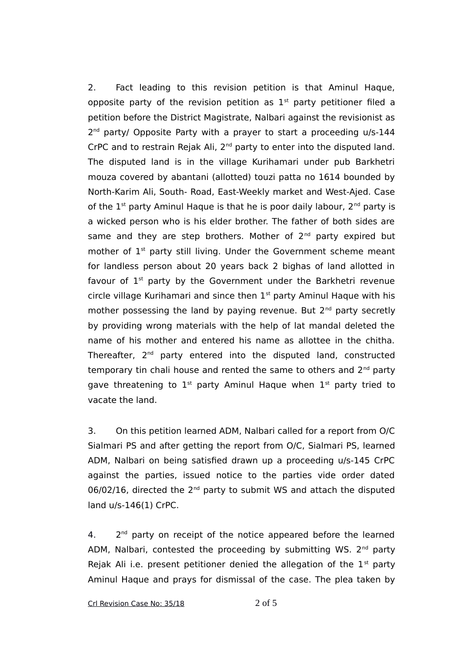2. Fact leading to this revision petition is that Aminul Haque, opposite party of the revision petition as  $1<sup>st</sup>$  party petitioner filed a petition before the District Magistrate, Nalbari against the revisionist as 2<sup>nd</sup> party/ Opposite Party with a prayer to start a proceeding u/s-144 CrPC and to restrain Rejak Ali, 2<sup>nd</sup> party to enter into the disputed land. The disputed land is in the village Kurihamari under pub Barkhetri mouza covered by abantani (allotted) touzi patta no 1614 bounded by North-Karim Ali, South- Road, East-Weekly market and West-Ajed. Case of the  $1^{st}$  party Aminul Haque is that he is poor daily labour,  $2^{nd}$  party is a wicked person who is his elder brother. The father of both sides are same and they are step brothers. Mother of  $2<sup>nd</sup>$  party expired but mother of 1<sup>st</sup> party still living. Under the Government scheme meant for landless person about 20 years back 2 bighas of land allotted in favour of  $1<sup>st</sup>$  party by the Government under the Barkhetri revenue circle village Kurihamari and since then  $1<sup>st</sup>$  party Aminul Haque with his mother possessing the land by paying revenue. But 2<sup>nd</sup> party secretly by providing wrong materials with the help of lat mandal deleted the name of his mother and entered his name as allottee in the chitha. Thereafter,  $2^{nd}$  party entered into the disputed land, constructed temporary tin chali house and rented the same to others and  $2<sup>nd</sup>$  party gave threatening to  $1^{st}$  party Aminul Haque when  $1^{st}$  party tried to vacate the land.

3. On this petition learned ADM, Nalbari called for a report from O/C Sialmari PS and after getting the report from O/C, Sialmari PS, learned ADM, Nalbari on being satisfied drawn up a proceeding u/s-145 CrPC against the parties, issued notice to the parties vide order dated 06/02/16, directed the 2<sup>nd</sup> party to submit WS and attach the disputed land u/s-146(1) CrPC.

 $4.$ 2<sup>nd</sup> party on receipt of the notice appeared before the learned ADM, Nalbari, contested the proceeding by submitting WS.  $2^{nd}$  party Rejak Ali i.e. present petitioner denied the allegation of the  $1<sup>st</sup>$  party Aminul Haque and prays for dismissal of the case. The plea taken by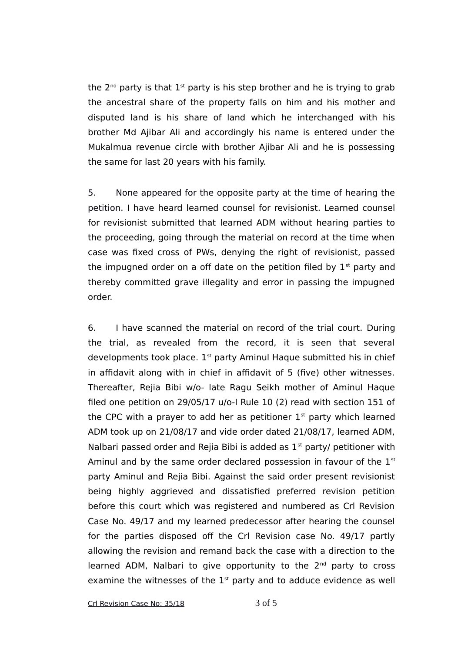the  $2<sup>nd</sup>$  party is that  $1<sup>st</sup>$  party is his step brother and he is trying to grab the ancestral share of the property falls on him and his mother and disputed land is his share of land which he interchanged with his brother Md Ajibar Ali and accordingly his name is entered under the Mukalmua revenue circle with brother Ajibar Ali and he is possessing the same for last 20 years with his family.

5. None appeared for the opposite party at the time of hearing the petition. I have heard learned counsel for revisionist. Learned counsel for revisionist submitted that learned ADM without hearing parties to the proceeding, going through the material on record at the time when case was fixed cross of PWs, denying the right of revisionist, passed the impugned order on a off date on the petition filed by  $1<sup>st</sup>$  party and thereby committed grave illegality and error in passing the impugned order.

6. I have scanned the material on record of the trial court. During the trial, as revealed from the record, it is seen that several developments took place.  $1<sup>st</sup>$  party Aminul Haque submitted his in chief in affidavit along with in chief in affidavit of 5 (five) other witnesses. Thereafter, Rejia Bibi w/o- late Ragu Seikh mother of Aminul Haque filed one petition on 29/05/17 u/o-I Rule 10 (2) read with section 151 of the CPC with a prayer to add her as petitioner  $1<sup>st</sup>$  party which learned ADM took up on 21/08/17 and vide order dated 21/08/17, learned ADM, Nalbari passed order and Rejia Bibi is added as  $1<sup>st</sup>$  party/ petitioner with Aminul and by the same order declared possession in favour of the  $1<sup>st</sup>$ party Aminul and Rejia Bibi. Against the said order present revisionist being highly aggrieved and dissatisfied preferred revision petition before this court which was registered and numbered as Crl Revision Case No. 49/17 and my learned predecessor after hearing the counsel for the parties disposed off the Crl Revision case No. 49/17 partly allowing the revision and remand back the case with a direction to the learned ADM, Nalbari to give opportunity to the  $2<sup>nd</sup>$  party to cross examine the witnesses of the  $1<sup>st</sup>$  party and to adduce evidence as well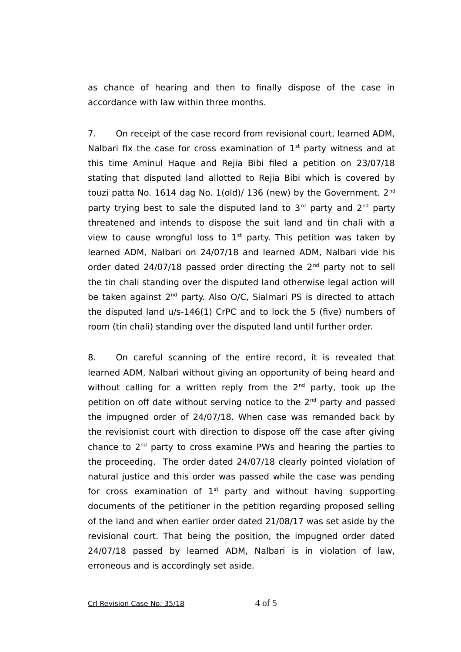as chance of hearing and then to finally dispose of the case in accordance with law within three months.

7. On receipt of the case record from revisional court, learned ADM, Nalbari fix the case for cross examination of  $1<sup>st</sup>$  party witness and at this time Aminul Haque and Rejia Bibi filed a petition on 23/07/18 stating that disputed land allotted to Rejia Bibi which is covered by touzi patta No. 1614 dag No. 1(old)/ 136 (new) by the Government. 2<sup>nd</sup> party trying best to sale the disputed land to  $3<sup>rd</sup>$  party and  $2<sup>nd</sup>$  party threatened and intends to dispose the suit land and tin chali with a view to cause wrongful loss to  $1<sup>st</sup>$  party. This petition was taken by learned ADM, Nalbari on 24/07/18 and learned ADM, Nalbari vide his order dated  $24/07/18$  passed order directing the  $2<sup>nd</sup>$  party not to sell the tin chali standing over the disputed land otherwise legal action will be taken against 2<sup>nd</sup> party. Also O/C, Sialmari PS is directed to attach the disputed land u/s-146(1) CrPC and to lock the 5 (five) numbers of room (tin chali) standing over the disputed land until further order.

8. On careful scanning of the entire record, it is revealed that learned ADM, Nalbari without giving an opportunity of being heard and without calling for a written reply from the  $2<sup>nd</sup>$  party, took up the petition on off date without serving notice to the 2<sup>nd</sup> party and passed the impugned order of 24/07/18. When case was remanded back by the revisionist court with direction to dispose off the case after giving chance to  $2<sup>nd</sup>$  party to cross examine PWs and hearing the parties to the proceeding. The order dated 24/07/18 clearly pointed violation of natural justice and this order was passed while the case was pending for cross examination of  $1<sup>st</sup>$  party and without having supporting documents of the petitioner in the petition regarding proposed selling of the land and when earlier order dated 21/08/17 was set aside by the revisional court. That being the position, the impugned order dated 24/07/18 passed by learned ADM, Nalbari is in violation of law, erroneous and is accordingly set aside.